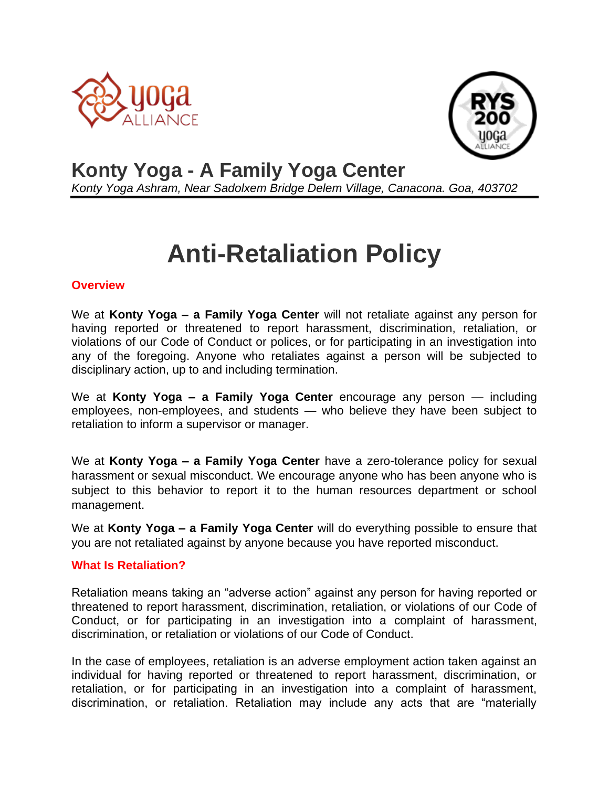



# **Konty Yoga - A Family Yoga Center**

*Konty Yoga Ashram, Near Sadolxem Bridge Delem Village, Canacona. Goa, 403702*

# **Anti-Retaliation Policy**

### **Overview**

We at **Konty Yoga – a Family Yoga Center** will not retaliate against any person for having reported or threatened to report harassment, discrimination, retaliation, or violations of our Code of Conduct or polices, or for participating in an investigation into any of the foregoing. Anyone who retaliates against a person will be subjected to disciplinary action, up to and including termination.

We at **Konty Yoga – a Family Yoga Center** encourage any person — including employees, non-employees, and students — who believe they have been subject to retaliation to inform a supervisor or manager.

We at **Konty Yoga – a Family Yoga Center** have a zero-tolerance policy for sexual harassment or sexual misconduct. We encourage anyone who has been anyone who is subject to this behavior to report it to the human resources department or school management.

We at **Konty Yoga – a Family Yoga Center** will do everything possible to ensure that you are not retaliated against by anyone because you have reported misconduct.

## **What Is Retaliation?**

Retaliation means taking an "adverse action" against any person for having reported or threatened to report harassment, discrimination, retaliation, or violations of our Code of Conduct, or for participating in an investigation into a complaint of harassment, discrimination, or retaliation or violations of our Code of Conduct.

In the case of employees, retaliation is an adverse employment action taken against an individual for having reported or threatened to report harassment, discrimination, or retaliation, or for participating in an investigation into a complaint of harassment, discrimination, or retaliation. Retaliation may include any acts that are "materially